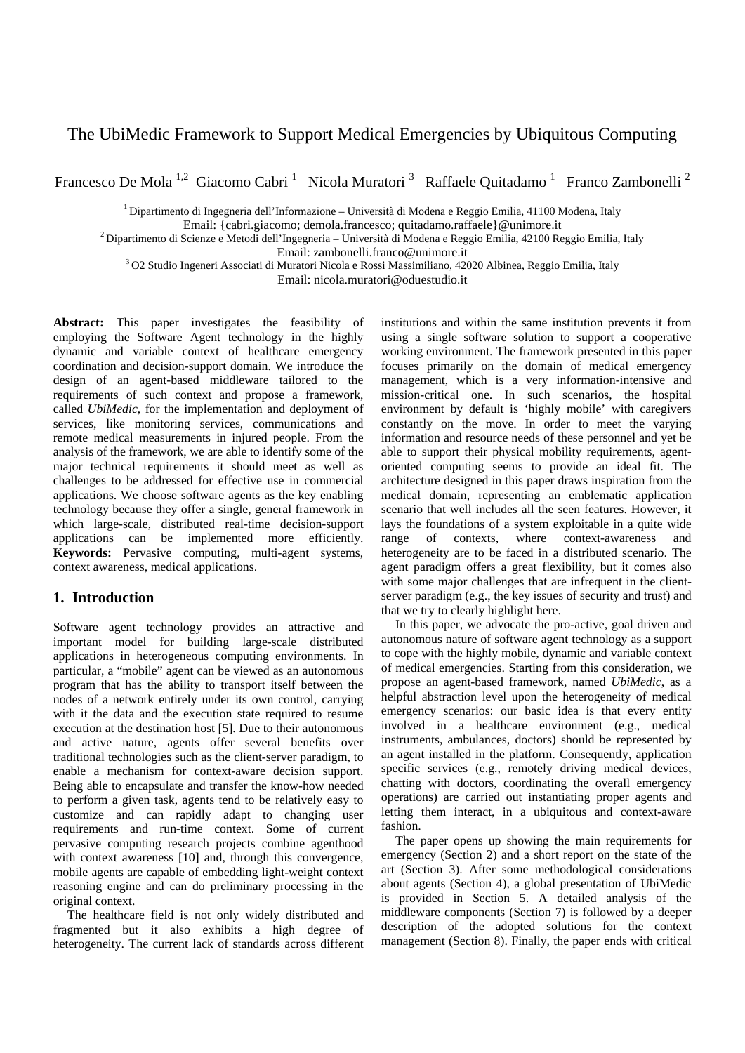# The UbiMedic Framework to Support Medical Emergencies by Ubiquitous Computing

Francesco De Mola<sup>1,2</sup> Giacomo Cabri<sup>1</sup> Nicola Muratori<sup>3</sup> Raffaele Quitadamo<sup>1</sup> Franco Zambonelli<sup>2</sup>

 $1$  Dipartimento di Ingegneria dell'Informazione – Università di Modena e Reggio Emilia, 41100 Modena, Italy

Email: {cabri.giacomo; demola.francesco; quitadamo.raffaele}@unimore.it 2 Dipartimento di Scienze e Metodi dell'Ingegneria – Università di Modena e Reggio Emilia, 42100 Reggio Emilia, Italy

Email: zambonelli.franco@unimore.it 3 O2 Studio Ingeneri Associati di Muratori Nicola e Rossi Massimiliano, 42020 Albinea, Reggio Emilia, Italy

Email: nicola.muratori@oduestudio.it

**Abstract:** This paper investigates the feasibility of employing the Software Agent technology in the highly dynamic and variable context of healthcare emergency coordination and decision-support domain. We introduce the design of an agent-based middleware tailored to the requirements of such context and propose a framework, called *UbiMedic*, for the implementation and deployment of services, like monitoring services, communications and remote medical measurements in injured people. From the analysis of the framework, we are able to identify some of the major technical requirements it should meet as well as challenges to be addressed for effective use in commercial applications. We choose software agents as the key enabling technology because they offer a single, general framework in which large-scale, distributed real-time decision-support applications can be implemented more efficiently. **Keywords:** Pervasive computing, multi-agent systems, context awareness, medical applications.

## **1. Introduction**

Software agent technology provides an attractive and important model for building large-scale distributed applications in heterogeneous computing environments. In particular, a "mobile" agent can be viewed as an autonomous program that has the ability to transport itself between the nodes of a network entirely under its own control, carrying with it the data and the execution state required to resume execution at the destination host [5]. Due to their autonomous and active nature, agents offer several benefits over traditional technologies such as the client-server paradigm, to enable a mechanism for context-aware decision support. Being able to encapsulate and transfer the know-how needed to perform a given task, agents tend to be relatively easy to customize and can rapidly adapt to changing user requirements and run-time context. Some of current pervasive computing research projects combine agenthood with context awareness [10] and, through this convergence, mobile agents are capable of embedding light-weight context reasoning engine and can do preliminary processing in the original context.

The healthcare field is not only widely distributed and fragmented but it also exhibits a high degree of heterogeneity. The current lack of standards across different institutions and within the same institution prevents it from using a single software solution to support a cooperative working environment. The framework presented in this paper focuses primarily on the domain of medical emergency management, which is a very information-intensive and mission-critical one. In such scenarios, the hospital environment by default is 'highly mobile' with caregivers constantly on the move. In order to meet the varying information and resource needs of these personnel and yet be able to support their physical mobility requirements, agentoriented computing seems to provide an ideal fit. The architecture designed in this paper draws inspiration from the medical domain, representing an emblematic application scenario that well includes all the seen features. However, it lays the foundations of a system exploitable in a quite wide range of contexts, where context-awareness and heterogeneity are to be faced in a distributed scenario. The agent paradigm offers a great flexibility, but it comes also with some major challenges that are infrequent in the clientserver paradigm (e.g., the key issues of security and trust) and that we try to clearly highlight here.

In this paper, we advocate the pro-active, goal driven and autonomous nature of software agent technology as a support to cope with the highly mobile, dynamic and variable context of medical emergencies. Starting from this consideration, we propose an agent-based framework, named *UbiMedic*, as a helpful abstraction level upon the heterogeneity of medical emergency scenarios: our basic idea is that every entity involved in a healthcare environment (e.g., medical instruments, ambulances, doctors) should be represented by an agent installed in the platform. Consequently, application specific services (e.g., remotely driving medical devices, chatting with doctors, coordinating the overall emergency operations) are carried out instantiating proper agents and letting them interact, in a ubiquitous and context-aware fashion.

The paper opens up showing the main requirements for emergency (Section 2) and a short report on the state of the art (Section 3). After some methodological considerations about agents (Section 4), a global presentation of UbiMedic is provided in Section 5. A detailed analysis of the middleware components (Section 7) is followed by a deeper description of the adopted solutions for the context management (Section 8). Finally, the paper ends with critical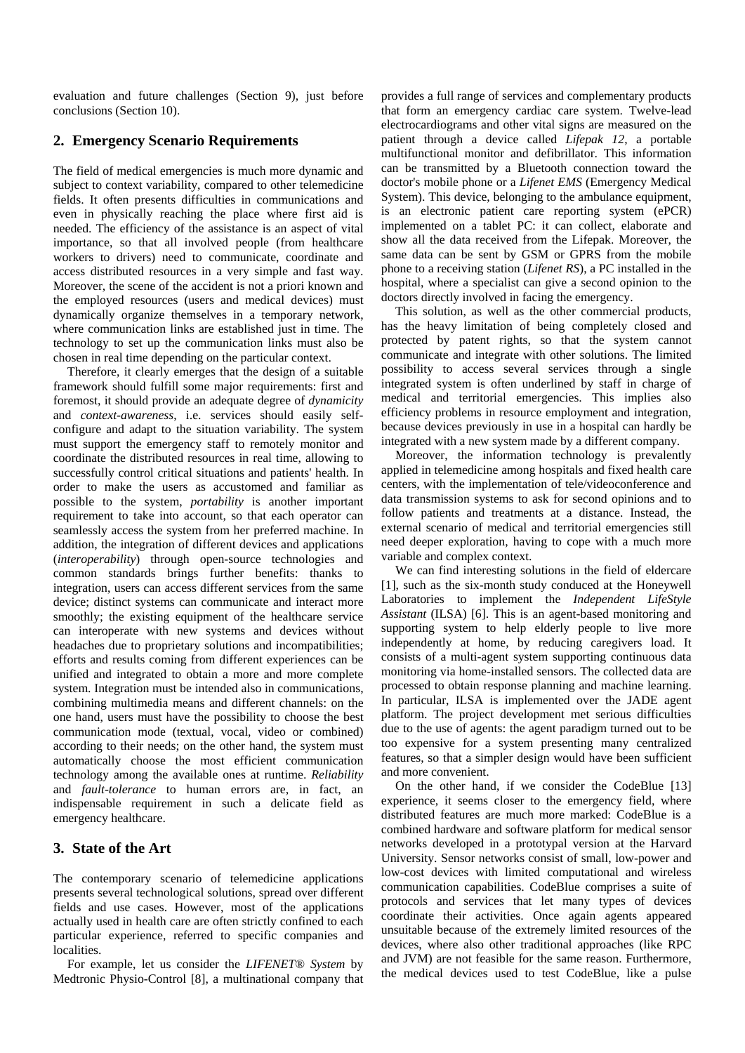evaluation and future challenges (Section 9), just before conclusions (Section 10).

## **2. Emergency Scenario Requirements**

The field of medical emergencies is much more dynamic and subject to context variability, compared to other telemedicine fields. It often presents difficulties in communications and even in physically reaching the place where first aid is needed. The efficiency of the assistance is an aspect of vital importance, so that all involved people (from healthcare workers to drivers) need to communicate, coordinate and access distributed resources in a very simple and fast way. Moreover, the scene of the accident is not a priori known and the employed resources (users and medical devices) must dynamically organize themselves in a temporary network, where communication links are established just in time. The technology to set up the communication links must also be chosen in real time depending on the particular context.

Therefore, it clearly emerges that the design of a suitable framework should fulfill some major requirements: first and foremost, it should provide an adequate degree of *dynamicity* and *context-awareness*, i.e. services should easily selfconfigure and adapt to the situation variability. The system must support the emergency staff to remotely monitor and coordinate the distributed resources in real time, allowing to successfully control critical situations and patients' health. In order to make the users as accustomed and familiar as possible to the system, *portability* is another important requirement to take into account, so that each operator can seamlessly access the system from her preferred machine. In addition, the integration of different devices and applications (*interoperability*) through open-source technologies and common standards brings further benefits: thanks to integration, users can access different services from the same device; distinct systems can communicate and interact more smoothly; the existing equipment of the healthcare service can interoperate with new systems and devices without headaches due to proprietary solutions and incompatibilities; efforts and results coming from different experiences can be unified and integrated to obtain a more and more complete system. Integration must be intended also in communications, combining multimedia means and different channels: on the one hand, users must have the possibility to choose the best communication mode (textual, vocal, video or combined) according to their needs; on the other hand, the system must automatically choose the most efficient communication technology among the available ones at runtime. *Reliability* and *fault-tolerance* to human errors are, in fact, an indispensable requirement in such a delicate field as emergency healthcare.

### **3. State of the Art**

The contemporary scenario of telemedicine applications presents several technological solutions, spread over different fields and use cases. However, most of the applications actually used in health care are often strictly confined to each particular experience, referred to specific companies and localities.

For example, let us consider the *LIFENET® System* by Medtronic Physio-Control [8], a multinational company that

provides a full range of services and complementary products that form an emergency cardiac care system. Twelve-lead electrocardiograms and other vital signs are measured on the patient through a device called *Lifepak 12*, a portable multifunctional monitor and defibrillator. This information can be transmitted by a Bluetooth connection toward the doctor's mobile phone or a *Lifenet EMS* (Emergency Medical System). This device, belonging to the ambulance equipment, is an electronic patient care reporting system (ePCR) implemented on a tablet PC: it can collect, elaborate and show all the data received from the Lifepak. Moreover, the same data can be sent by GSM or GPRS from the mobile phone to a receiving station (*Lifenet RS*), a PC installed in the hospital, where a specialist can give a second opinion to the doctors directly involved in facing the emergency.

This solution, as well as the other commercial products, has the heavy limitation of being completely closed and protected by patent rights, so that the system cannot communicate and integrate with other solutions. The limited possibility to access several services through a single integrated system is often underlined by staff in charge of medical and territorial emergencies. This implies also efficiency problems in resource employment and integration, because devices previously in use in a hospital can hardly be integrated with a new system made by a different company.

Moreover, the information technology is prevalently applied in telemedicine among hospitals and fixed health care centers, with the implementation of tele/videoconference and data transmission systems to ask for second opinions and to follow patients and treatments at a distance. Instead, the external scenario of medical and territorial emergencies still need deeper exploration, having to cope with a much more variable and complex context.

We can find interesting solutions in the field of eldercare [1], such as the six-month study conduced at the Honeywell Laboratories to implement the *Independent LifeStyle Assistant* (ILSA) [6]. This is an agent-based monitoring and supporting system to help elderly people to live more independently at home, by reducing caregivers load. It consists of a multi-agent system supporting continuous data monitoring via home-installed sensors. The collected data are processed to obtain response planning and machine learning. In particular, ILSA is implemented over the JADE agent platform. The project development met serious difficulties due to the use of agents: the agent paradigm turned out to be too expensive for a system presenting many centralized features, so that a simpler design would have been sufficient and more convenient.

On the other hand, if we consider the CodeBlue [13] experience, it seems closer to the emergency field, where distributed features are much more marked: CodeBlue is a combined hardware and software platform for medical sensor networks developed in a prototypal version at the Harvard University. Sensor networks consist of small, low-power and low-cost devices with limited computational and wireless communication capabilities. CodeBlue comprises a suite of protocols and services that let many types of devices coordinate their activities. Once again agents appeared unsuitable because of the extremely limited resources of the devices, where also other traditional approaches (like RPC and JVM) are not feasible for the same reason. Furthermore, the medical devices used to test CodeBlue, like a pulse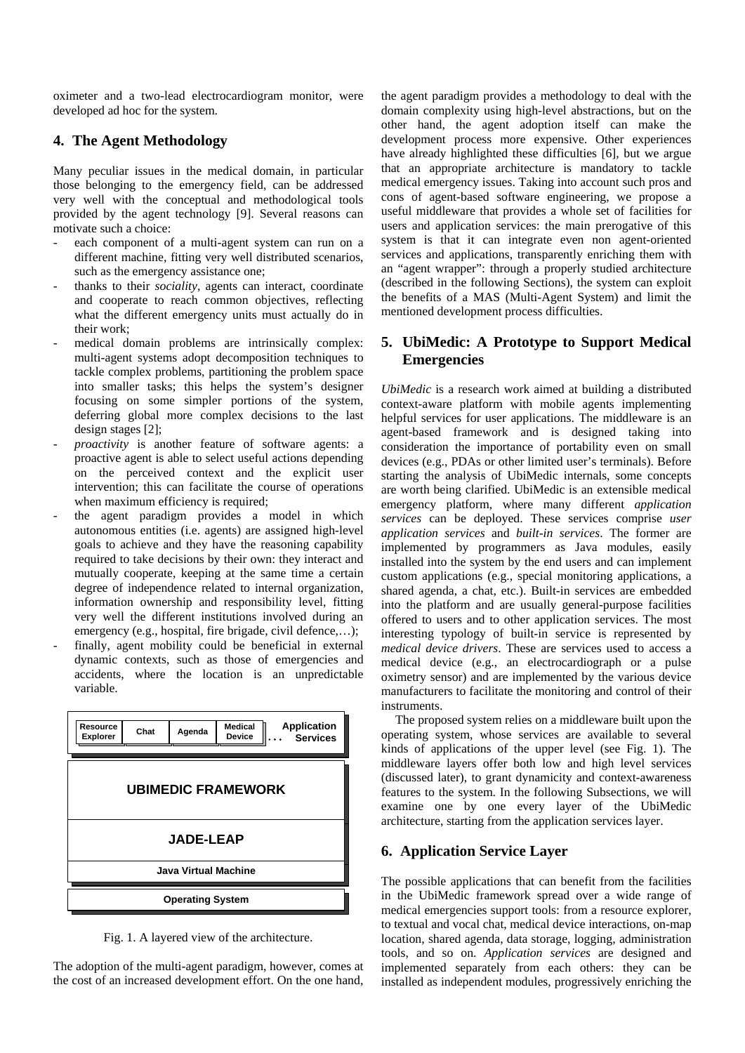oximeter and a two-lead electrocardiogram monitor, were developed ad hoc for the system.

## **4. The Agent Methodology**

Many peculiar issues in the medical domain, in particular those belonging to the emergency field, can be addressed very well with the conceptual and methodological tools provided by the agent technology [9]. Several reasons can motivate such a choice:

- each component of a multi-agent system can run on a different machine, fitting very well distributed scenarios, such as the emergency assistance one;
- thanks to their *sociality*, agents can interact, coordinate and cooperate to reach common objectives, reflecting what the different emergency units must actually do in their work;
- medical domain problems are intrinsically complex: multi-agent systems adopt decomposition techniques to tackle complex problems, partitioning the problem space into smaller tasks; this helps the system's designer focusing on some simpler portions of the system, deferring global more complex decisions to the last design stages [2];
- *proactivity* is another feature of software agents: a proactive agent is able to select useful actions depending on the perceived context and the explicit user intervention; this can facilitate the course of operations when maximum efficiency is required:
- the agent paradigm provides a model in which autonomous entities (i.e. agents) are assigned high-level goals to achieve and they have the reasoning capability required to take decisions by their own: they interact and mutually cooperate, keeping at the same time a certain degree of independence related to internal organization, information ownership and responsibility level, fitting very well the different institutions involved during an emergency (e.g., hospital, fire brigade, civil defence,...);
- finally, agent mobility could be beneficial in external dynamic contexts, such as those of emergencies and accidents, where the location is an unpredictable variable.



Fig. 1. A layered view of the architecture.

The adoption of the multi-agent paradigm, however, comes at the cost of an increased development effort. On the one hand,

the agent paradigm provides a methodology to deal with the domain complexity using high-level abstractions, but on the other hand, the agent adoption itself can make the development process more expensive. Other experiences have already highlighted these difficulties [6], but we argue that an appropriate architecture is mandatory to tackle medical emergency issues. Taking into account such pros and cons of agent-based software engineering, we propose a useful middleware that provides a whole set of facilities for users and application services: the main prerogative of this system is that it can integrate even non agent-oriented services and applications, transparently enriching them with an "agent wrapper": through a properly studied architecture (described in the following Sections), the system can exploit the benefits of a MAS (Multi-Agent System) and limit the mentioned development process difficulties.

## **5. UbiMedic: A Prototype to Support Medical Emergencies**

*UbiMedic* is a research work aimed at building a distributed context-aware platform with mobile agents implementing helpful services for user applications. The middleware is an agent-based framework and is designed taking into consideration the importance of portability even on small devices (e.g., PDAs or other limited user's terminals). Before starting the analysis of UbiMedic internals, some concepts are worth being clarified. UbiMedic is an extensible medical emergency platform, where many different *application services* can be deployed. These services comprise *user application services* and *built-in services*. The former are implemented by programmers as Java modules, easily installed into the system by the end users and can implement custom applications (e.g., special monitoring applications, a shared agenda, a chat, etc.). Built-in services are embedded into the platform and are usually general-purpose facilities offered to users and to other application services. The most interesting typology of built-in service is represented by *medical device drivers*. These are services used to access a medical device (e.g., an electrocardiograph or a pulse oximetry sensor) and are implemented by the various device manufacturers to facilitate the monitoring and control of their instruments.

The proposed system relies on a middleware built upon the operating system, whose services are available to several kinds of applications of the upper level (see Fig. 1). The middleware layers offer both low and high level services (discussed later), to grant dynamicity and context-awareness features to the system. In the following Subsections, we will examine one by one every layer of the UbiMedic architecture, starting from the application services layer.

## **6. Application Service Layer**

The possible applications that can benefit from the facilities in the UbiMedic framework spread over a wide range of medical emergencies support tools: from a resource explorer, to textual and vocal chat, medical device interactions, on-map location, shared agenda, data storage, logging, administration tools, and so on. *Application services* are designed and implemented separately from each others: they can be installed as independent modules, progressively enriching the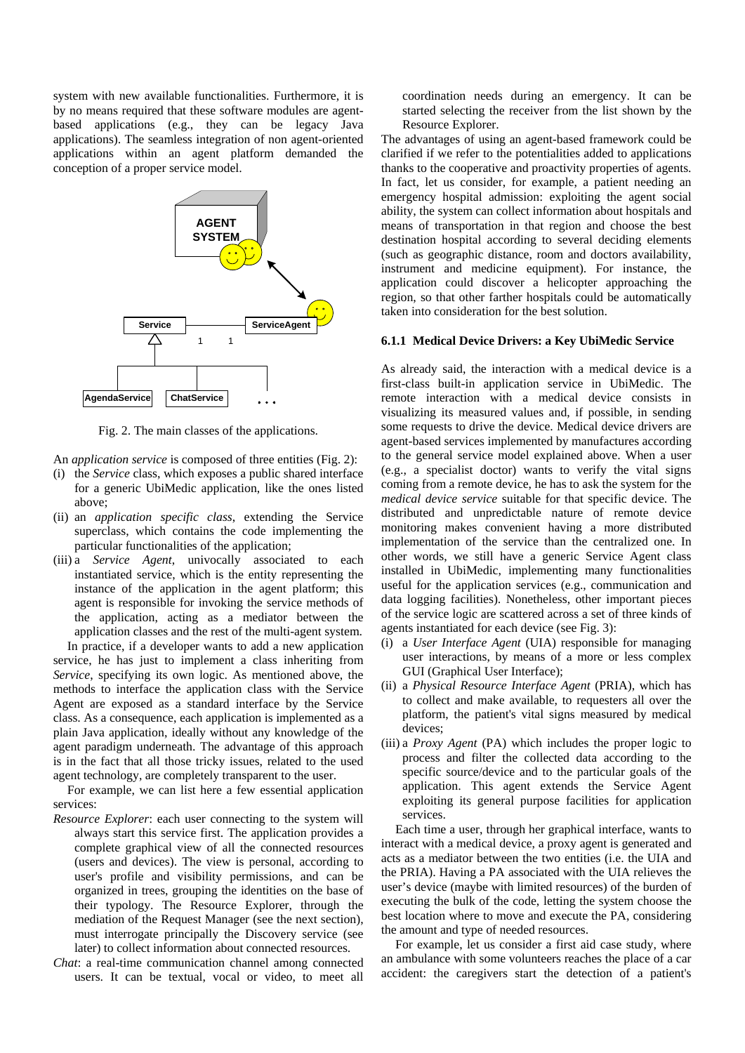system with new available functionalities. Furthermore, it is by no means required that these software modules are agentbased applications (e.g., they can be legacy Java applications). The seamless integration of non agent-oriented applications within an agent platform demanded the conception of a proper service model.



Fig. 2. The main classes of the applications.

- An *application service* is composed of three entities (Fig. 2):
- (i) the *Service* class, which exposes a public shared interface for a generic UbiMedic application, like the ones listed above;
- (ii) an *application specific class*, extending the Service superclass, which contains the code implementing the particular functionalities of the application;
- (iii) a *Service Agent*, univocally associated to each instantiated service, which is the entity representing the instance of the application in the agent platform; this agent is responsible for invoking the service methods of the application, acting as a mediator between the application classes and the rest of the multi-agent system.

In practice, if a developer wants to add a new application service, he has just to implement a class inheriting from *Service*, specifying its own logic. As mentioned above, the methods to interface the application class with the Service Agent are exposed as a standard interface by the Service class. As a consequence, each application is implemented as a plain Java application, ideally without any knowledge of the agent paradigm underneath. The advantage of this approach is in the fact that all those tricky issues, related to the used agent technology, are completely transparent to the user.

For example, we can list here a few essential application services:

- *Resource Explorer*: each user connecting to the system will always start this service first. The application provides a complete graphical view of all the connected resources (users and devices). The view is personal, according to user's profile and visibility permissions, and can be organized in trees, grouping the identities on the base of their typology. The Resource Explorer, through the mediation of the Request Manager (see the next section), must interrogate principally the Discovery service (see later) to collect information about connected resources.
- *Chat*: a real-time communication channel among connected users. It can be textual, vocal or video, to meet all

coordination needs during an emergency. It can be started selecting the receiver from the list shown by the Resource Explorer.

The advantages of using an agent-based framework could be clarified if we refer to the potentialities added to applications thanks to the cooperative and proactivity properties of agents. In fact, let us consider, for example, a patient needing an emergency hospital admission: exploiting the agent social ability, the system can collect information about hospitals and means of transportation in that region and choose the best destination hospital according to several deciding elements (such as geographic distance, room and doctors availability, instrument and medicine equipment). For instance, the application could discover a helicopter approaching the region, so that other farther hospitals could be automatically taken into consideration for the best solution.

#### **6.1.1 Medical Device Drivers: a Key UbiMedic Service**

As already said, the interaction with a medical device is a first-class built-in application service in UbiMedic. The remote interaction with a medical device consists in visualizing its measured values and, if possible, in sending some requests to drive the device. Medical device drivers are agent-based services implemented by manufactures according to the general service model explained above. When a user (e.g., a specialist doctor) wants to verify the vital signs coming from a remote device, he has to ask the system for the *medical device service* suitable for that specific device. The distributed and unpredictable nature of remote device monitoring makes convenient having a more distributed implementation of the service than the centralized one. In other words, we still have a generic Service Agent class installed in UbiMedic, implementing many functionalities useful for the application services (e.g., communication and data logging facilities). Nonetheless, other important pieces of the service logic are scattered across a set of three kinds of agents instantiated for each device (see Fig. 3):

- (i) a *User Interface Agent* (UIA) responsible for managing user interactions, by means of a more or less complex GUI (Graphical User Interface);
- (ii) a *Physical Resource Interface Agent* (PRIA), which has to collect and make available, to requesters all over the platform, the patient's vital signs measured by medical devices;
- (iii) a *Proxy Agent* (PA) which includes the proper logic to process and filter the collected data according to the specific source/device and to the particular goals of the application. This agent extends the Service Agent exploiting its general purpose facilities for application services.

Each time a user, through her graphical interface, wants to interact with a medical device, a proxy agent is generated and acts as a mediator between the two entities (i.e. the UIA and the PRIA). Having a PA associated with the UIA relieves the user's device (maybe with limited resources) of the burden of executing the bulk of the code, letting the system choose the best location where to move and execute the PA, considering the amount and type of needed resources.

For example, let us consider a first aid case study, where an ambulance with some volunteers reaches the place of a car accident: the caregivers start the detection of a patient's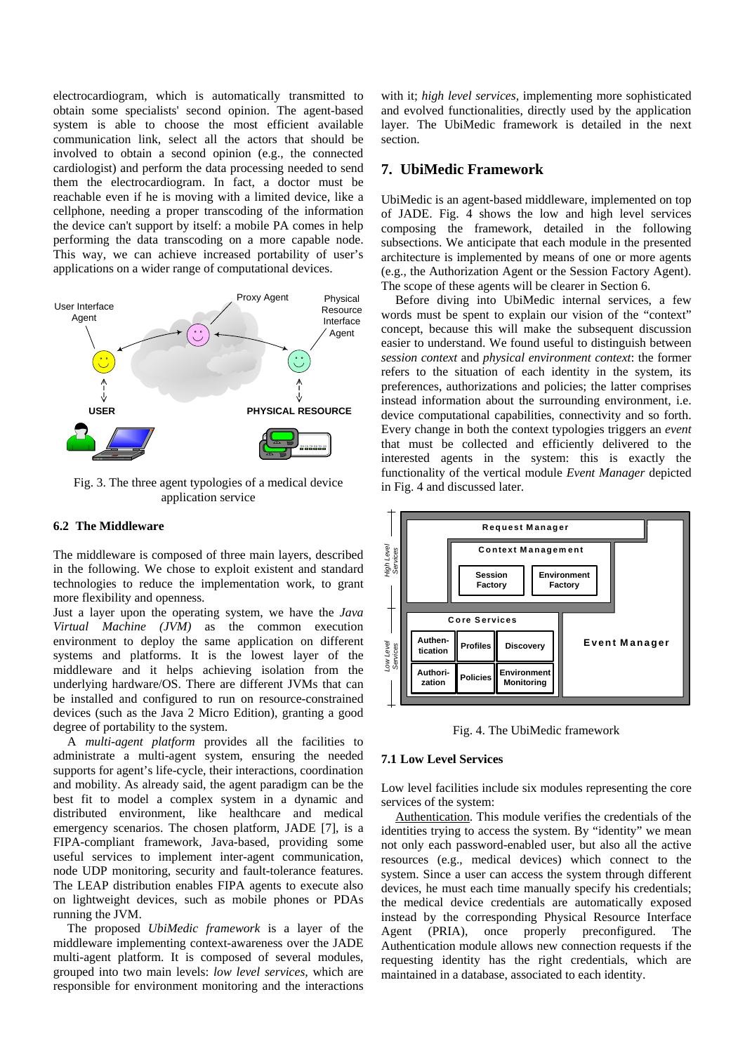electrocardiogram, which is automatically transmitted to obtain some specialists' second opinion. The agent-based system is able to choose the most efficient available communication link, select all the actors that should be involved to obtain a second opinion (e.g., the connected cardiologist) and perform the data processing needed to send them the electrocardiogram. In fact, a doctor must be reachable even if he is moving with a limited device, like a cellphone, needing a proper transcoding of the information the device can't support by itself: a mobile PA comes in help performing the data transcoding on a more capable node. This way, we can achieve increased portability of user's applications on a wider range of computational devices.



Fig. 3. The three agent typologies of a medical device application service

## **6.2 The Middleware**

The middleware is composed of three main layers, described in the following. We chose to exploit existent and standard technologies to reduce the implementation work, to grant more flexibility and openness.

Just a layer upon the operating system, we have the *Java Virtual Machine (JVM)* as the common execution environment to deploy the same application on different systems and platforms. It is the lowest layer of the middleware and it helps achieving isolation from the underlying hardware/OS. There are different JVMs that can be installed and configured to run on resource-constrained devices (such as the Java 2 Micro Edition), granting a good degree of portability to the system.

A *multi-agent platform* provides all the facilities to administrate a multi-agent system, ensuring the needed supports for agent's life-cycle, their interactions, coordination and mobility. As already said, the agent paradigm can be the best fit to model a complex system in a dynamic and distributed environment, like healthcare and medical emergency scenarios. The chosen platform, JADE [7], is a FIPA-compliant framework, Java-based, providing some useful services to implement inter-agent communication, node UDP monitoring, security and fault-tolerance features. The LEAP distribution enables FIPA agents to execute also on lightweight devices, such as mobile phones or PDAs running the JVM.

The proposed *UbiMedic framework* is a layer of the middleware implementing context-awareness over the JADE multi-agent platform. It is composed of several modules, grouped into two main levels: *low level services,* which are responsible for environment monitoring and the interactions

with it; *high level services,* implementing more sophisticated and evolved functionalities, directly used by the application layer. The UbiMedic framework is detailed in the next section.

#### **7. UbiMedic Framework**

UbiMedic is an agent-based middleware, implemented on top of JADE. Fig. 4 shows the low and high level services composing the framework, detailed in the following subsections. We anticipate that each module in the presented architecture is implemented by means of one or more agents (e.g., the Authorization Agent or the Session Factory Agent). The scope of these agents will be clearer in Section 6.

Before diving into UbiMedic internal services, a few words must be spent to explain our vision of the "context" concept, because this will make the subsequent discussion easier to understand. We found useful to distinguish between *session context* and *physical environment context*: the former refers to the situation of each identity in the system, its preferences, authorizations and policies; the latter comprises instead information about the surrounding environment, i.e. device computational capabilities, connectivity and so forth. Every change in both the context typologies triggers an *event* that must be collected and efficiently delivered to the interested agents in the system: this is exactly the functionality of the vertical module *Event Manager* depicted in Fig. 4 and discussed later.



Fig. 4. The UbiMedic framework

### **7.1 Low Level Services**

Low level facilities include six modules representing the core services of the system:

Authentication. This module verifies the credentials of the identities trying to access the system. By "identity" we mean not only each password-enabled user, but also all the active resources (e.g., medical devices) which connect to the system. Since a user can access the system through different devices, he must each time manually specify his credentials; the medical device credentials are automatically exposed instead by the corresponding Physical Resource Interface Agent (PRIA), once properly preconfigured. The Authentication module allows new connection requests if the requesting identity has the right credentials, which are maintained in a database, associated to each identity.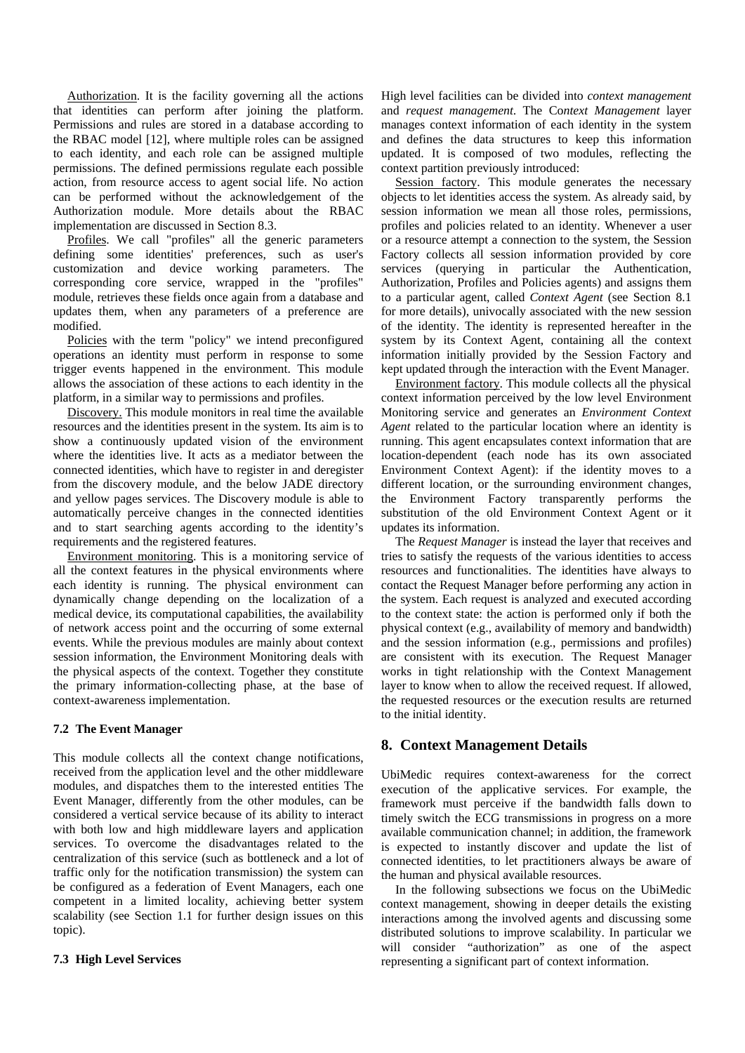Authorization. It is the facility governing all the actions that identities can perform after joining the platform. Permissions and rules are stored in a database according to the RBAC model [12], where multiple roles can be assigned to each identity, and each role can be assigned multiple permissions. The defined permissions regulate each possible action, from resource access to agent social life. No action can be performed without the acknowledgement of the Authorization module. More details about the RBAC implementation are discussed in Section 8.3.

Profiles. We call "profiles" all the generic parameters defining some identities' preferences, such as user's customization and device working parameters. The corresponding core service, wrapped in the "profiles" module, retrieves these fields once again from a database and updates them, when any parameters of a preference are modified.

Policies with the term "policy" we intend preconfigured operations an identity must perform in response to some trigger events happened in the environment. This module allows the association of these actions to each identity in the platform, in a similar way to permissions and profiles.

Discovery. This module monitors in real time the available resources and the identities present in the system. Its aim is to show a continuously updated vision of the environment where the identities live. It acts as a mediator between the connected identities, which have to register in and deregister from the discovery module, and the below JADE directory and yellow pages services. The Discovery module is able to automatically perceive changes in the connected identities and to start searching agents according to the identity's requirements and the registered features.

Environment monitoring. This is a monitoring service of all the context features in the physical environments where each identity is running. The physical environment can dynamically change depending on the localization of a medical device, its computational capabilities, the availability of network access point and the occurring of some external events. While the previous modules are mainly about context session information, the Environment Monitoring deals with the physical aspects of the context. Together they constitute the primary information-collecting phase, at the base of context-awareness implementation.

### **7.2 The Event Manager**

This module collects all the context change notifications, received from the application level and the other middleware modules, and dispatches them to the interested entities The Event Manager, differently from the other modules, can be considered a vertical service because of its ability to interact with both low and high middleware layers and application services. To overcome the disadvantages related to the centralization of this service (such as bottleneck and a lot of traffic only for the notification transmission) the system can be configured as a federation of Event Managers, each one competent in a limited locality, achieving better system scalability (see Section 1.1 for further design issues on this topic).

#### **7.3 High Level Services**

High level facilities can be divided into *context management* and *request management*. The Co*ntext Management* layer manages context information of each identity in the system and defines the data structures to keep this information updated. It is composed of two modules, reflecting the context partition previously introduced:

Session factory. This module generates the necessary objects to let identities access the system. As already said, by session information we mean all those roles, permissions, profiles and policies related to an identity. Whenever a user or a resource attempt a connection to the system, the Session Factory collects all session information provided by core services (querying in particular the Authentication, Authorization, Profiles and Policies agents) and assigns them to a particular agent, called *Context Agent* (see Section 8.1 for more details), univocally associated with the new session of the identity. The identity is represented hereafter in the system by its Context Agent, containing all the context information initially provided by the Session Factory and kept updated through the interaction with the Event Manager.

Environment factory. This module collects all the physical context information perceived by the low level Environment Monitoring service and generates an *Environment Context Agent* related to the particular location where an identity is running. This agent encapsulates context information that are location-dependent (each node has its own associated Environment Context Agent): if the identity moves to a different location, or the surrounding environment changes, the Environment Factory transparently performs the substitution of the old Environment Context Agent or it updates its information.

The *Request Manager* is instead the layer that receives and tries to satisfy the requests of the various identities to access resources and functionalities. The identities have always to contact the Request Manager before performing any action in the system. Each request is analyzed and executed according to the context state: the action is performed only if both the physical context (e.g., availability of memory and bandwidth) and the session information (e.g., permissions and profiles) are consistent with its execution. The Request Manager works in tight relationship with the Context Management layer to know when to allow the received request. If allowed, the requested resources or the execution results are returned to the initial identity.

## **8. Context Management Details**

UbiMedic requires context-awareness for the correct execution of the applicative services. For example, the framework must perceive if the bandwidth falls down to timely switch the ECG transmissions in progress on a more available communication channel; in addition, the framework is expected to instantly discover and update the list of connected identities, to let practitioners always be aware of the human and physical available resources.

In the following subsections we focus on the UbiMedic context management, showing in deeper details the existing interactions among the involved agents and discussing some distributed solutions to improve scalability. In particular we will consider "authorization" as one of the aspect representing a significant part of context information.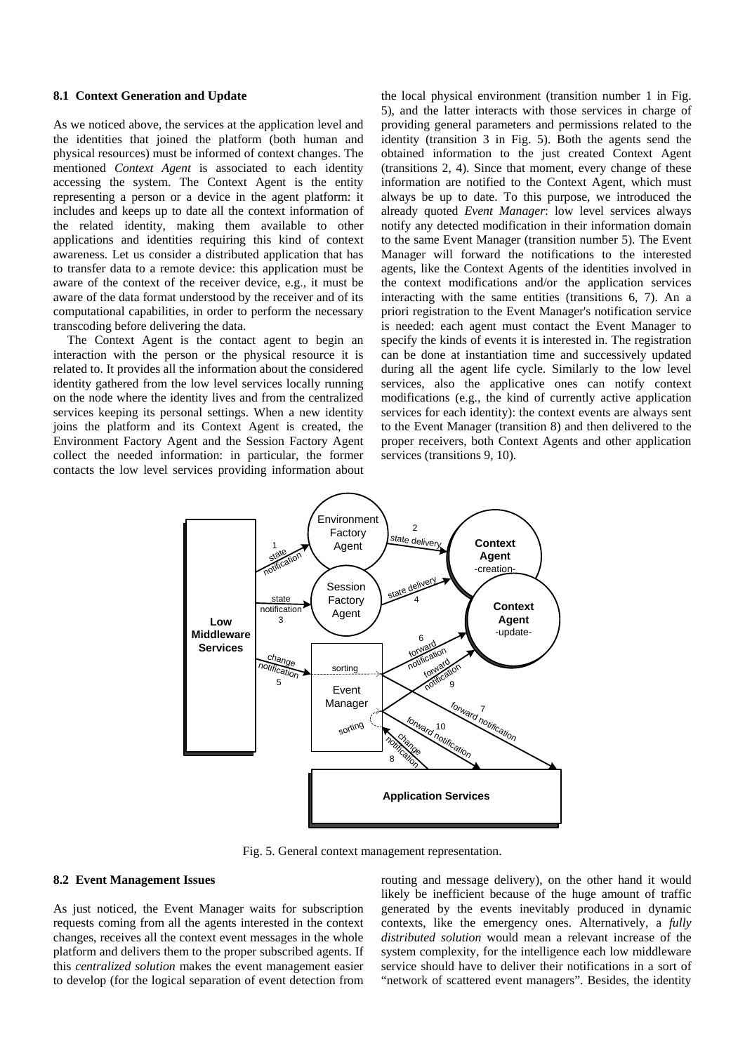#### **8.1 Context Generation and Update**

As we noticed above, the services at the application level and the identities that joined the platform (both human and physical resources) must be informed of context changes. The mentioned *Context Agent* is associated to each identity accessing the system. The Context Agent is the entity representing a person or a device in the agent platform: it includes and keeps up to date all the context information of the related identity, making them available to other applications and identities requiring this kind of context awareness. Let us consider a distributed application that has to transfer data to a remote device: this application must be aware of the context of the receiver device, e.g., it must be aware of the data format understood by the receiver and of its computational capabilities, in order to perform the necessary transcoding before delivering the data.

The Context Agent is the contact agent to begin an interaction with the person or the physical resource it is related to. It provides all the information about the considered identity gathered from the low level services locally running on the node where the identity lives and from the centralized services keeping its personal settings. When a new identity joins the platform and its Context Agent is created, the Environment Factory Agent and the Session Factory Agent collect the needed information: in particular, the former contacts the low level services providing information about

the local physical environment (transition number 1 in Fig. 5), and the latter interacts with those services in charge of providing general parameters and permissions related to the identity (transition 3 in Fig. 5). Both the agents send the obtained information to the just created Context Agent (transitions 2, 4). Since that moment, every change of these information are notified to the Context Agent, which must always be up to date. To this purpose, we introduced the already quoted *Event Manager*: low level services always notify any detected modification in their information domain to the same Event Manager (transition number 5). The Event Manager will forward the notifications to the interested agents, like the Context Agents of the identities involved in the context modifications and/or the application services interacting with the same entities (transitions 6, 7). An a priori registration to the Event Manager's notification service is needed: each agent must contact the Event Manager to specify the kinds of events it is interested in. The registration can be done at instantiation time and successively updated during all the agent life cycle. Similarly to the low level services, also the applicative ones can notify context modifications (e.g., the kind of currently active application services for each identity): the context events are always sent to the Event Manager (transition 8) and then delivered to the proper receivers, both Context Agents and other application services (transitions 9, 10).



Fig. 5. General context management representation.

### **8.2 Event Management Issues**

As just noticed, the Event Manager waits for subscription requests coming from all the agents interested in the context changes, receives all the context event messages in the whole platform and delivers them to the proper subscribed agents. If this *centralized solution* makes the event management easier to develop (for the logical separation of event detection from routing and message delivery), on the other hand it would likely be inefficient because of the huge amount of traffic generated by the events inevitably produced in dynamic contexts, like the emergency ones. Alternatively, a *fully distributed solution* would mean a relevant increase of the system complexity, for the intelligence each low middleware service should have to deliver their notifications in a sort of "network of scattered event managers". Besides, the identity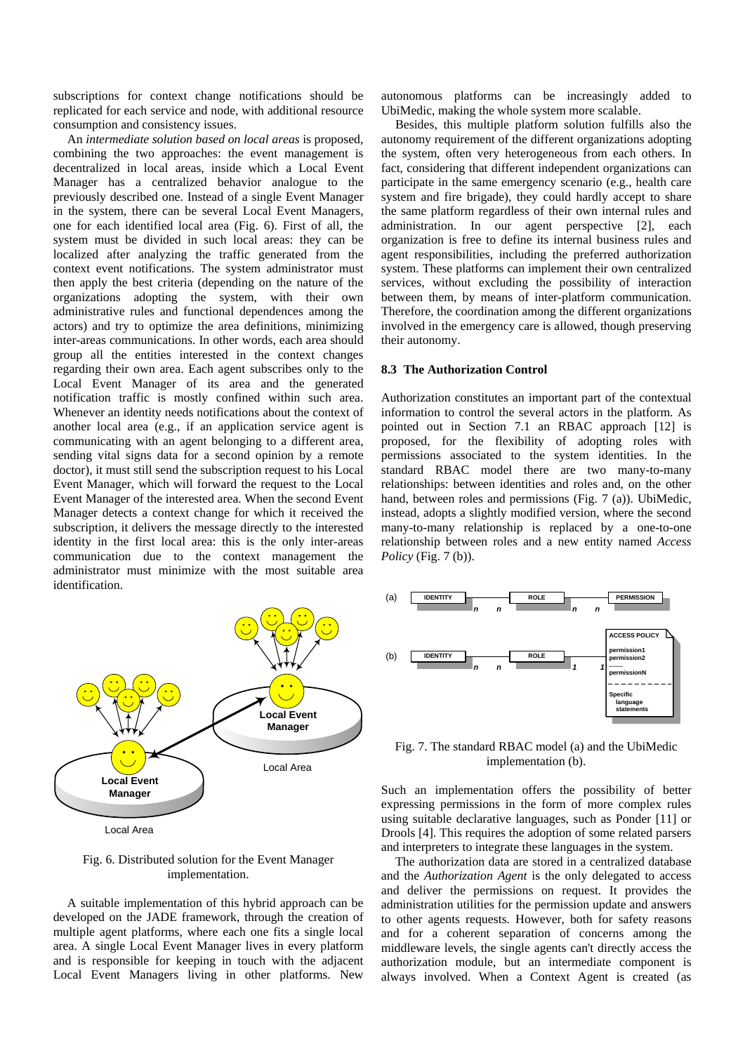subscriptions for context change notifications should be replicated for each service and node, with additional resource consumption and consistency issues.

An *intermediate solution based on local areas* is proposed, combining the two approaches: the event management is decentralized in local areas, inside which a Local Event Manager has a centralized behavior analogue to the previously described one. Instead of a single Event Manager in the system, there can be several Local Event Managers, one for each identified local area (Fig. 6). First of all, the system must be divided in such local areas: they can be localized after analyzing the traffic generated from the context event notifications. The system administrator must then apply the best criteria (depending on the nature of the organizations adopting the system, with their own administrative rules and functional dependences among the actors) and try to optimize the area definitions, minimizing inter-areas communications. In other words, each area should group all the entities interested in the context changes regarding their own area. Each agent subscribes only to the Local Event Manager of its area and the generated notification traffic is mostly confined within such area. Whenever an identity needs notifications about the context of another local area (e.g., if an application service agent is communicating with an agent belonging to a different area, sending vital signs data for a second opinion by a remote doctor), it must still send the subscription request to his Local Event Manager, which will forward the request to the Local Event Manager of the interested area. When the second Event Manager detects a context change for which it received the subscription, it delivers the message directly to the interested identity in the first local area: this is the only inter-areas communication due to the context management the administrator must minimize with the most suitable area identification.



#### Fig. 6. Distributed solution for the Event Manager implementation.

A suitable implementation of this hybrid approach can be developed on the JADE framework, through the creation of multiple agent platforms, where each one fits a single local area. A single Local Event Manager lives in every platform and is responsible for keeping in touch with the adjacent Local Event Managers living in other platforms. New

autonomous platforms can be increasingly added to UbiMedic, making the whole system more scalable.

Besides, this multiple platform solution fulfills also the autonomy requirement of the different organizations adopting the system, often very heterogeneous from each others. In fact, considering that different independent organizations can participate in the same emergency scenario (e.g., health care system and fire brigade), they could hardly accept to share the same platform regardless of their own internal rules and administration. In our agent perspective [2], each organization is free to define its internal business rules and agent responsibilities, including the preferred authorization system. These platforms can implement their own centralized services, without excluding the possibility of interaction between them, by means of inter-platform communication. Therefore, the coordination among the different organizations involved in the emergency care is allowed, though preserving their autonomy.

#### **8.3 The Authorization Control**

Authorization constitutes an important part of the contextual information to control the several actors in the platform. As pointed out in Section 7.1 an RBAC approach [12] is proposed, for the flexibility of adopting roles with permissions associated to the system identities. In the standard RBAC model there are two many-to-many relationships: between identities and roles and, on the other hand, between roles and permissions (Fig. 7 (a)). UbiMedic, instead, adopts a slightly modified version, where the second many-to-many relationship is replaced by a one-to-one relationship between roles and a new entity named *Access Policy* (Fig. 7 (b)).



Fig. 7. The standard RBAC model (a) and the UbiMedic implementation (b).

Such an implementation offers the possibility of better expressing permissions in the form of more complex rules using suitable declarative languages, such as Ponder [11] or Drools [4]. This requires the adoption of some related parsers and interpreters to integrate these languages in the system.

The authorization data are stored in a centralized database and the *Authorization Agent* is the only delegated to access and deliver the permissions on request. It provides the administration utilities for the permission update and answers to other agents requests. However, both for safety reasons and for a coherent separation of concerns among the middleware levels, the single agents can't directly access the authorization module, but an intermediate component is always involved. When a Context Agent is created (as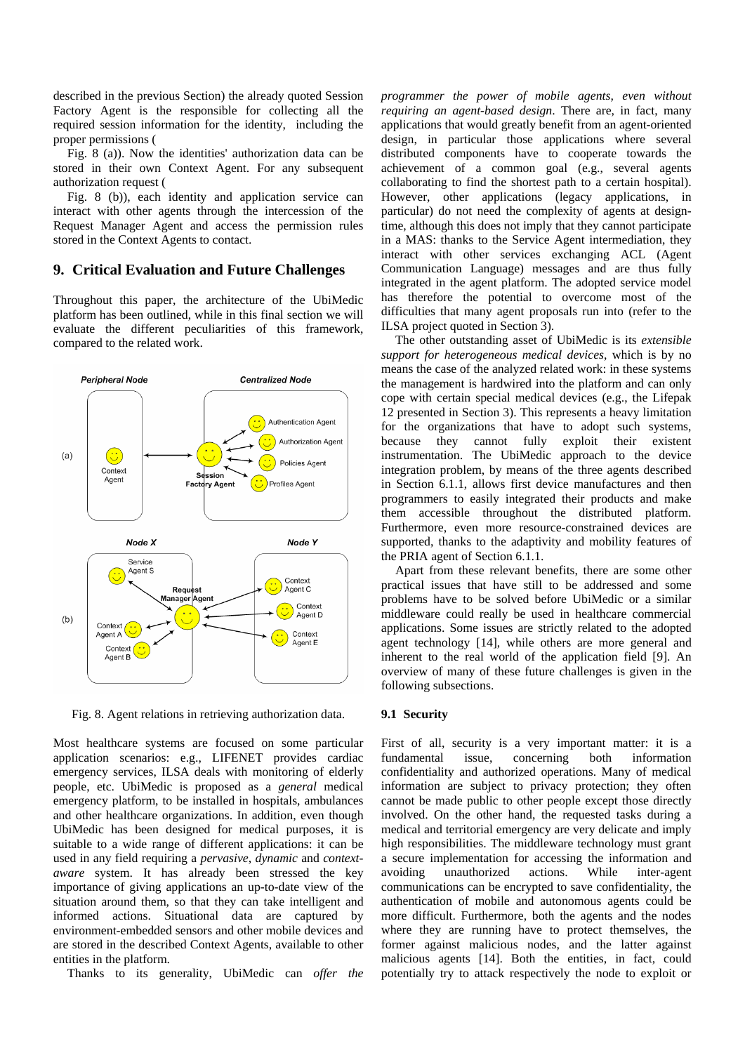described in the previous Section) the already quoted Session Factory Agent is the responsible for collecting all the required session information for the identity, including the proper permissions (

Fig. 8 (a)). Now the identities' authorization data can be stored in their own Context Agent. For any subsequent authorization request (

Fig. 8 (b)), each identity and application service can interact with other agents through the intercession of the Request Manager Agent and access the permission rules stored in the Context Agents to contact.

## **9. Critical Evaluation and Future Challenges**

Throughout this paper, the architecture of the UbiMedic platform has been outlined, while in this final section we will evaluate the different peculiarities of this framework, compared to the related work.



Fig. 8. Agent relations in retrieving authorization data.

Most healthcare systems are focused on some particular application scenarios: e.g., LIFENET provides cardiac emergency services, ILSA deals with monitoring of elderly people, etc. UbiMedic is proposed as a *general* medical emergency platform, to be installed in hospitals, ambulances and other healthcare organizations. In addition, even though UbiMedic has been designed for medical purposes, it is suitable to a wide range of different applications: it can be used in any field requiring a *pervasive*, *dynamic* and *contextaware* system. It has already been stressed the key importance of giving applications an up-to-date view of the situation around them, so that they can take intelligent and informed actions. Situational data are captured by environment-embedded sensors and other mobile devices and are stored in the described Context Agents, available to other entities in the platform.

Thanks to its generality, UbiMedic can *offer the* 

*programmer the power of mobile agents, even without requiring an agent-based design*. There are, in fact, many applications that would greatly benefit from an agent-oriented design, in particular those applications where several distributed components have to cooperate towards the achievement of a common goal (e.g., several agents collaborating to find the shortest path to a certain hospital). However, other applications (legacy applications, in particular) do not need the complexity of agents at designtime, although this does not imply that they cannot participate in a MAS: thanks to the Service Agent intermediation, they interact with other services exchanging ACL (Agent Communication Language) messages and are thus fully integrated in the agent platform. The adopted service model has therefore the potential to overcome most of the difficulties that many agent proposals run into (refer to the ILSA project quoted in Section 3).

The other outstanding asset of UbiMedic is its *extensible support for heterogeneous medical devices*, which is by no means the case of the analyzed related work: in these systems the management is hardwired into the platform and can only cope with certain special medical devices (e.g., the Lifepak 12 presented in Section 3). This represents a heavy limitation for the organizations that have to adopt such systems, because they cannot fully exploit their existent instrumentation. The UbiMedic approach to the device integration problem, by means of the three agents described in Section 6.1.1, allows first device manufactures and then programmers to easily integrated their products and make them accessible throughout the distributed platform. Furthermore, even more resource-constrained devices are supported, thanks to the adaptivity and mobility features of the PRIA agent of Section 6.1.1.

Apart from these relevant benefits, there are some other practical issues that have still to be addressed and some problems have to be solved before UbiMedic or a similar middleware could really be used in healthcare commercial applications. Some issues are strictly related to the adopted agent technology [14], while others are more general and inherent to the real world of the application field [9]. An overview of many of these future challenges is given in the following subsections.

#### **9.1 Security**

First of all, security is a very important matter: it is a fundamental issue, concerning both information confidentiality and authorized operations. Many of medical information are subject to privacy protection; they often cannot be made public to other people except those directly involved. On the other hand, the requested tasks during a medical and territorial emergency are very delicate and imply high responsibilities. The middleware technology must grant a secure implementation for accessing the information and avoiding unauthorized actions. While inter-agent communications can be encrypted to save confidentiality, the authentication of mobile and autonomous agents could be more difficult. Furthermore, both the agents and the nodes where they are running have to protect themselves, the former against malicious nodes, and the latter against malicious agents [14]. Both the entities, in fact, could potentially try to attack respectively the node to exploit or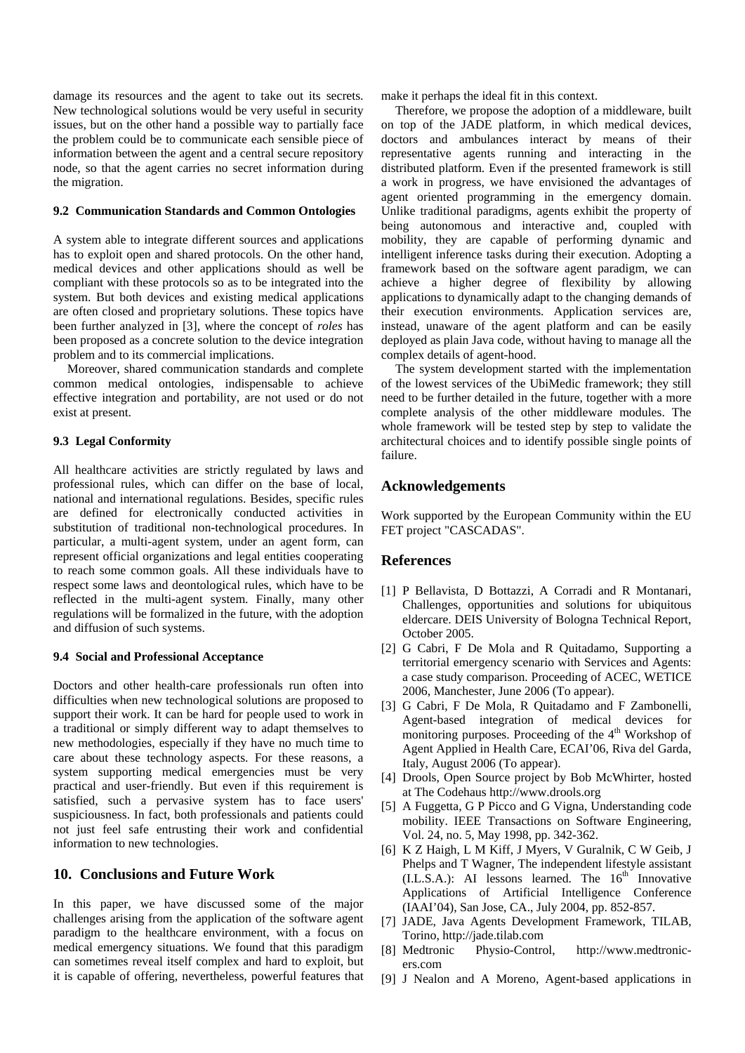damage its resources and the agent to take out its secrets. New technological solutions would be very useful in security issues, but on the other hand a possible way to partially face the problem could be to communicate each sensible piece of information between the agent and a central secure repository node, so that the agent carries no secret information during the migration.

#### **9.2 Communication Standards and Common Ontologies**

A system able to integrate different sources and applications has to exploit open and shared protocols. On the other hand, medical devices and other applications should as well be compliant with these protocols so as to be integrated into the system. But both devices and existing medical applications are often closed and proprietary solutions. These topics have been further analyzed in [3], where the concept of *roles* has been proposed as a concrete solution to the device integration problem and to its commercial implications.

Moreover, shared communication standards and complete common medical ontologies, indispensable to achieve effective integration and portability, are not used or do not exist at present.

#### **9.3 Legal Conformity**

All healthcare activities are strictly regulated by laws and professional rules, which can differ on the base of local, national and international regulations. Besides, specific rules are defined for electronically conducted activities in substitution of traditional non-technological procedures. In particular, a multi-agent system, under an agent form, can represent official organizations and legal entities cooperating to reach some common goals. All these individuals have to respect some laws and deontological rules, which have to be reflected in the multi-agent system. Finally, many other regulations will be formalized in the future, with the adoption and diffusion of such systems.

#### **9.4 Social and Professional Acceptance**

Doctors and other health-care professionals run often into difficulties when new technological solutions are proposed to support their work. It can be hard for people used to work in a traditional or simply different way to adapt themselves to new methodologies, especially if they have no much time to care about these technology aspects. For these reasons, a system supporting medical emergencies must be very practical and user-friendly. But even if this requirement is satisfied, such a pervasive system has to face users' suspiciousness. In fact, both professionals and patients could not just feel safe entrusting their work and confidential information to new technologies.

## **10. Conclusions and Future Work**

In this paper, we have discussed some of the major challenges arising from the application of the software agent paradigm to the healthcare environment, with a focus on medical emergency situations. We found that this paradigm can sometimes reveal itself complex and hard to exploit, but it is capable of offering, nevertheless, powerful features that make it perhaps the ideal fit in this context.

Therefore, we propose the adoption of a middleware, built on top of the JADE platform, in which medical devices, doctors and ambulances interact by means of their representative agents running and interacting in the distributed platform. Even if the presented framework is still a work in progress, we have envisioned the advantages of agent oriented programming in the emergency domain. Unlike traditional paradigms, agents exhibit the property of being autonomous and interactive and, coupled with mobility, they are capable of performing dynamic and intelligent inference tasks during their execution. Adopting a framework based on the software agent paradigm, we can achieve a higher degree of flexibility by allowing applications to dynamically adapt to the changing demands of their execution environments. Application services are, instead, unaware of the agent platform and can be easily deployed as plain Java code, without having to manage all the complex details of agent-hood.

The system development started with the implementation of the lowest services of the UbiMedic framework; they still need to be further detailed in the future, together with a more complete analysis of the other middleware modules. The whole framework will be tested step by step to validate the architectural choices and to identify possible single points of failure.

### **Acknowledgements**

Work supported by the European Community within the EU FET project "CASCADAS".

### **References**

- [1] P Bellavista, D Bottazzi, A Corradi and R Montanari, Challenges, opportunities and solutions for ubiquitous eldercare. DEIS University of Bologna Technical Report, October 2005.
- [2] G Cabri, F De Mola and R Quitadamo, Supporting a territorial emergency scenario with Services and Agents: a case study comparison. Proceeding of ACEC, WETICE 2006, Manchester, June 2006 (To appear).
- [3] G Cabri, F De Mola, R Quitadamo and F Zambonelli, Agent-based integration of medical devices for monitoring purposes. Proceeding of the  $4<sup>th</sup>$  Workshop of Agent Applied in Health Care, ECAI'06, Riva del Garda, Italy, August 2006 (To appear).
- [4] Drools, Open Source project by Bob McWhirter, hosted at The Codehaus http://www.drools.org
- [5] A Fuggetta, G P Picco and G Vigna, Understanding code mobility. IEEE Transactions on Software Engineering, Vol. 24, no. 5, May 1998, pp. 342-362.
- [6] K Z Haigh, L M Kiff, J Myers, V Guralnik, C W Geib, J Phelps and T Wagner, The independent lifestyle assistant  $(L.S.A.)$ : AI lessons learned. The  $16<sup>th</sup>$  Innovative Applications of Artificial Intelligence Conference (IAAI'04), San Jose, CA., July 2004, pp. 852-857.
- [7] JADE, Java Agents Development Framework, TILAB, Torino, http://jade.tilab.com
- [8] Medtronic Physio-Control, http://www.medtronicers.com
- [9] J Nealon and A Moreno, Agent-based applications in